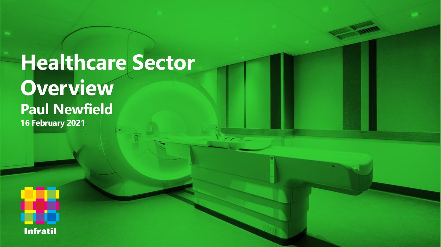# **Healthcare Sector Overview Paul Newfield 16 February 2021**

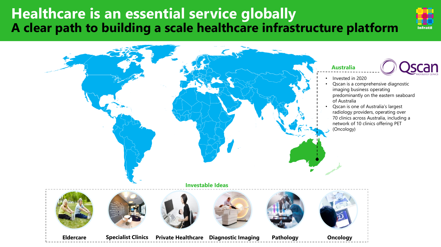# **Healthcare is an essential service globally A clear path to building a scale healthcare infrastructure platform**



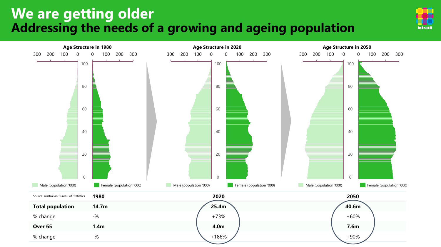# **We are getting older Addressing the needs of a growing and ageing population**



**Infratil**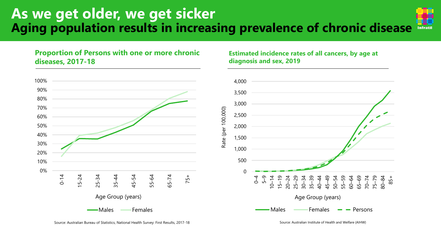## **As we get older, we get sicker Aging population results in increasing prevalence of chronic disease Infratil**

## **Proportion of Persons with one or more chronic diseases, 2017-18**



### **Estimated incidence rates of all cancers, by age at diagnosis and sex, 2019**



Source: Australian Institute of Health and Welfare (AIHW)

Source: Australian Bureau of Statistics, National Health Survey: First Results, 2017-18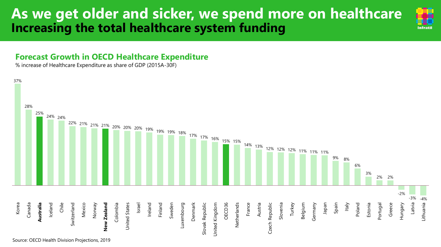# **As we get older and sicker, we spend more on healthcare Increasing the total healthcare system funding**

# **Infratil**

## **Forecast Growth in OECD Healthcare Expenditure**

% increase of Healthcare Expenditure as share of GDP (2015A-30F)

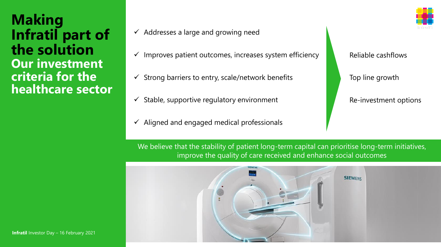**Making Infratil part of the solution Our investment criteria for the healthcare sector**

- $\checkmark$  Addresses a large and growing need
- Improves patient outcomes, increases system efficiency
- $\checkmark$  Strong barriers to entry, scale/network benefits
- $\checkmark$  Stable, supportive regulatory environment
- Aligned and engaged medical professionals

Reliable cashflows

Top line growth

Re-investment options

We believe that the stability of patient long-term capital can prioritise long-term initiatives, improve the quality of care received and enhance social outcomes

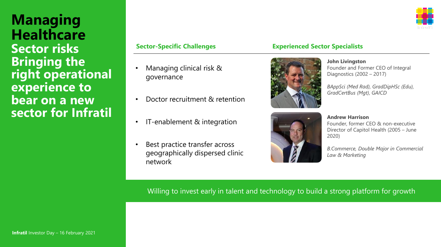**Managing Healthcare Sector risks Bringing the right operational experience to bear on a new sector for Infratil**

- Managing clinical risk & governance
- Doctor recruitment & retention
- IT-enablement & integration
- Best practice transfer across geographically dispersed clinic network

### **Sector-Specific Challenges Experienced Sector Specialists**



Founder and Former CEO of Integral Diagnostics (2002 – 2017)

**John Livingston**

*BAppSci (Med Rad), GradDipHSc (Edu), GradCertBus (Mgt), GAICD*



**Andrew Harrison** Founder, former CEO & non-executive Director of Capitol Health (2005 – June 2020)

*B.Commerce, Double Major in Commercial Law & Marketing* 

Willing to invest early in talent and technology to build a strong platform for growth